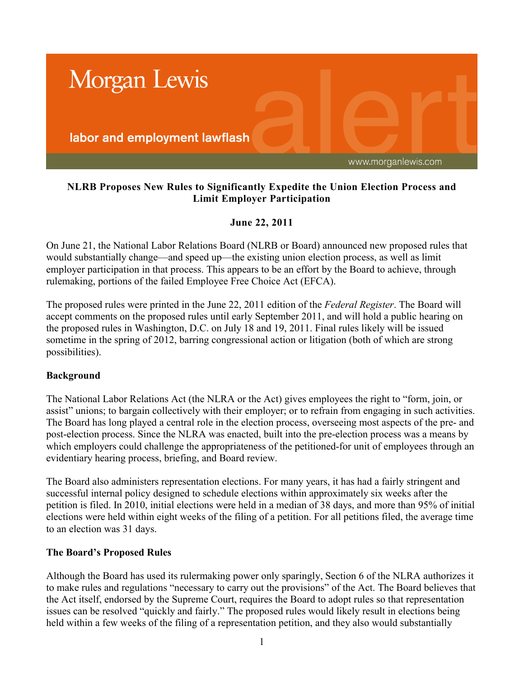

## **NLRB Proposes New Rules to Significantly Expedite the Union Election Process and Limit Employer Participation**

## **June 22, 2011**

On June 21, the National Labor Relations Board (NLRB or Board) announced new proposed rules that would substantially change—and speed up—the existing union election process, as well as limit employer participation in that process. This appears to be an effort by the Board to achieve, through rulemaking, portions of the failed Employee Free Choice Act (EFCA).

The proposed rules were printed in the June 22, 2011 edition of the *Federal Register*. The Board will accept comments on the proposed rules until early September 2011, and will hold a public hearing on the proposed rules in Washington, D.C. on July 18 and 19, 2011. Final rules likely will be issued sometime in the spring of 2012, barring congressional action or litigation (both of which are strong possibilities).

## **Background**

The National Labor Relations Act (the NLRA or the Act) gives employees the right to "form, join, or assist" unions; to bargain collectively with their employer; or to refrain from engaging in such activities. The Board has long played a central role in the election process, overseeing most aspects of the pre- and post-election process. Since the NLRA was enacted, built into the pre-election process was a means by which employers could challenge the appropriateness of the petitioned-for unit of employees through an evidentiary hearing process, briefing, and Board review.

The Board also administers representation elections. For many years, it has had a fairly stringent and successful internal policy designed to schedule elections within approximately six weeks after the petition is filed. In 2010, initial elections were held in a median of 38 days, and more than 95% of initial elections were held within eight weeks of the filing of a petition. For all petitions filed, the average time to an election was 31 days.

## **The Board's Proposed Rules**

Although the Board has used its rulermaking power only sparingly, Section 6 of the NLRA authorizes it to make rules and regulations "necessary to carry out the provisions" of the Act. The Board believes that the Act itself, endorsed by the Supreme Court, requires the Board to adopt rules so that representation issues can be resolved "quickly and fairly." The proposed rules would likely result in elections being held within a few weeks of the filing of a representation petition, and they also would substantially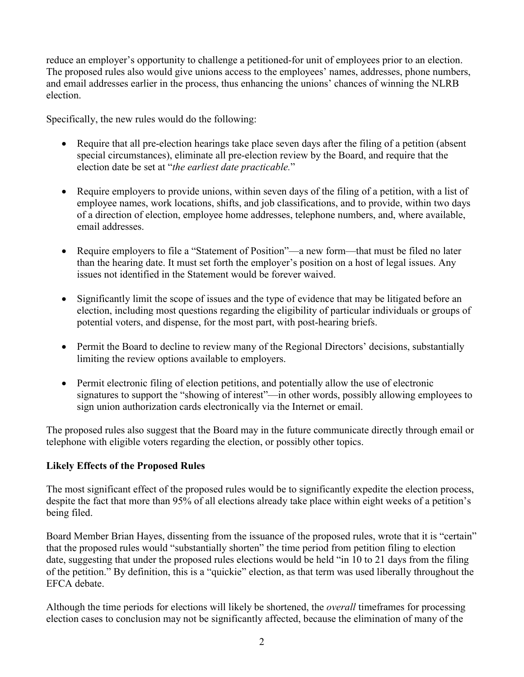reduce an employer's opportunity to challenge a petitioned-for unit of employees prior to an election. The proposed rules also would give unions access to the employees' names, addresses, phone numbers, and email addresses earlier in the process, thus enhancing the unions' chances of winning the NLRB election.

Specifically, the new rules would do the following:

- Require that all pre-election hearings take place seven days after the filing of a petition (absent special circumstances), eliminate all pre-election review by the Board, and require that the election date be set at "*the earliest date practicable.*"
- Require employers to provide unions, within seven days of the filing of a petition, with a list of employee names, work locations, shifts, and job classifications, and to provide, within two days of a direction of election, employee home addresses, telephone numbers, and, where available, email addresses.
- Require employers to file a "Statement of Position"—a new form—that must be filed no later than the hearing date. It must set forth the employer's position on a host of legal issues. Any issues not identified in the Statement would be forever waived.
- Significantly limit the scope of issues and the type of evidence that may be litigated before an election, including most questions regarding the eligibility of particular individuals or groups of potential voters, and dispense, for the most part, with post-hearing briefs.
- Permit the Board to decline to review many of the Regional Directors' decisions, substantially limiting the review options available to employers.
- Permit electronic filing of election petitions, and potentially allow the use of electronic signatures to support the "showing of interest"—in other words, possibly allowing employees to sign union authorization cards electronically via the Internet or email.

The proposed rules also suggest that the Board may in the future communicate directly through email or telephone with eligible voters regarding the election, or possibly other topics.

# **Likely Effects of the Proposed Rules**

The most significant effect of the proposed rules would be to significantly expedite the election process, despite the fact that more than 95% of all elections already take place within eight weeks of a petition's being filed.

Board Member Brian Hayes, dissenting from the issuance of the proposed rules, wrote that it is "certain" that the proposed rules would "substantially shorten" the time period from petition filing to election date, suggesting that under the proposed rules elections would be held "in 10 to 21 days from the filing of the petition." By definition, this is a "quickie" election, as that term was used liberally throughout the EFCA debate.

Although the time periods for elections will likely be shortened, the *overall* timeframes for processing election cases to conclusion may not be significantly affected, because the elimination of many of the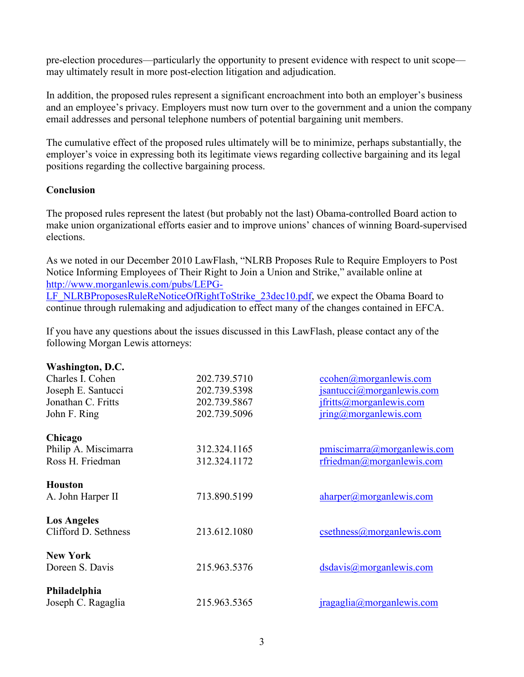pre-election procedures—particularly the opportunity to present evidence with respect to unit scope may ultimately result in more post-election litigation and adjudication.

In addition, the proposed rules represent a significant encroachment into both an employer's business and an employee's privacy. Employers must now turn over to the government and a union the company email addresses and personal telephone numbers of potential bargaining unit members.

The cumulative effect of the proposed rules ultimately will be to minimize, perhaps substantially, the employer's voice in expressing both its legitimate views regarding collective bargaining and its legal positions regarding the collective bargaining process.

## **Conclusion**

The proposed rules represent the latest (but probably not the last) Obama-controlled Board action to make union organizational efforts easier and to improve unions' chances of winning Board-supervised elections.

As we noted in our December 2010 LawFlash, "NLRB Proposes Rule to Require Employers to Post Notice Informing Employees of Their Right to Join a Union and Strike," available online at http://www.morganlewis.com/pubs/LEPG-[LF\\_NLRBProposesRuleReNoticeOfRightToStrike\\_23dec10.pdf,](http://www.morganlewis.com/pubs/LEPG-LF_NLRBProposesRuleReNoticeOfRightToStrike_23dec10.pdf) we expect the Obama Board to continue through rulemaking and adjudication to effect many of the changes contained in EFCA.

If you have any questions about the issues discussed in this LawFlash, please contact any of the following Morgan Lewis attorneys:

| Washington, D.C.     |              |                                        |
|----------------------|--------------|----------------------------------------|
| Charles I. Cohen     | 202.739.5710 | $ccohen(\theta)$ morgan lewis.com      |
| Joseph E. Santucci   | 202.739.5398 | $jsantucci(\partial)$ morgan lewis.com |
| Jonathan C. Fritts   | 202.739.5867 | <i>ifritts@morganlewis.com</i>         |
| John F. Ring         | 202.739.5096 | $\text{iring}(a)$ morgan lewis.com     |
| Chicago              |              |                                        |
| Philip A. Miscimarra | 312.324.1165 | pmiscimarra@morganlewis.com            |
| Ross H. Friedman     | 312.324.1172 | rfriedman@morganlewis.com              |
| <b>Houston</b>       | 713.890.5199 |                                        |
| A. John Harper II    |              | aharper@morganlewis.com                |
| <b>Los Angeles</b>   |              |                                        |
| Clifford D. Sethness | 213.612.1080 | $c$ sethness $@$ morganlewis.com       |
| <b>New York</b>      |              |                                        |
| Doreen S. Davis      | 215.963.5376 | dsdavis@morganlewis.com                |
| Philadelphia         |              |                                        |
| Joseph C. Ragaglia   | 215.963.5365 | iragaglia@morganlewis.com              |